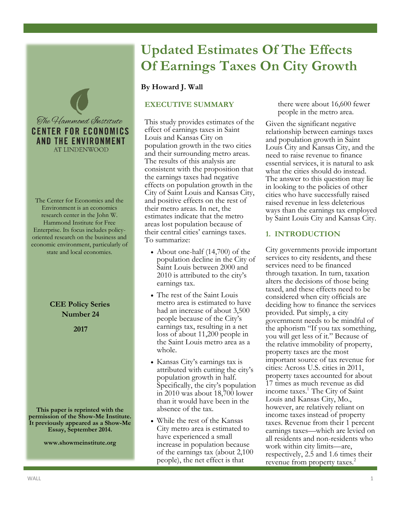

The Center for Economics and the Environment is an economics research center in the John W. Hammond Institute for Free Enterprise. Its focus includes policyoriented research on the business and economic environment, particularly of state and local economies.

# **CEE Policy Series Number 24**

**2017**

**This paper is reprinted with the permission of the Show-Me Institute. It previously appeared as a Show-Me Essay, September 2014.**

**www.showmeinstitute.org**

# **Updated Estimates Of The Effects Of Earnings Taxes On City Growth**

## **By Howard J. Wall**

## **EXECUTIVE SUMMARY**

This study provides estimates of the effect of earnings taxes in Saint Louis and Kansas City on population growth in the two cities and their surrounding metro areas. The results of this analysis are consistent with the proposition that the earnings taxes had negative effects on population growth in the City of Saint Louis and Kansas City, and positive effects on the rest of their metro areas. In net, the estimates indicate that the metro areas lost population because of their central cities' earnings taxes. To summarize:

- About one-half (14,700) of the population decline in the City of Saint Louis between 2000 and 2010 is attributed to the city's earnings tax.
- The rest of the Saint Louis metro area is estimated to have had an increase of about 3,500 people because of the City's earnings tax, resulting in a net loss of about 11,200 people in the Saint Louis metro area as a whole.
- Kansas City's earnings tax is attributed with cutting the city's population growth in half. Specifically, the city's population in 2010 was about 18,700 lower than it would have been in the absence of the tax.
- While the rest of the Kansas City metro area is estimated to have experienced a small increase in population because of the earnings tax (about 2,100 people), the net effect is that

there were about 16,600 fewer people in the metro area.

Given the significant negative relationship between earnings taxes and population growth in Saint Louis City and Kansas City, and the need to raise revenue to finance essential services, it is natural to ask what the cities should do instead. The answer to this question may lie in looking to the policies of other cities who have successfully raised raised revenue in less deleterious ways than the earnings tax employed by Saint Louis City and Kansas City.

## **1. INTRODUCTION**

City governments provide important services to city residents, and these services need to be financed through taxation. In turn, taxation alters the decisions of those being taxed, and these effects need to be considered when city officials are deciding how to finance the services provided. Put simply, a city government needs to be mindful of the aphorism "If you tax something, you will get less of it." Because of the relative immobility of property, property taxes are the most important source of tax revenue for cities: Across U.S. cities in 2011, property taxes accounted for about 17 times as much revenue as did income taxes.<sup>1</sup> The City of Saint Louis and Kansas City, Mo., however, are relatively reliant on income taxes instead of property taxes. Revenue from their 1 percent earnings taxes—which are levied on all residents and non-residents who work within city limits—are, respectively, 2.5 and 1.6 times their revenue from property taxes.<sup>2</sup>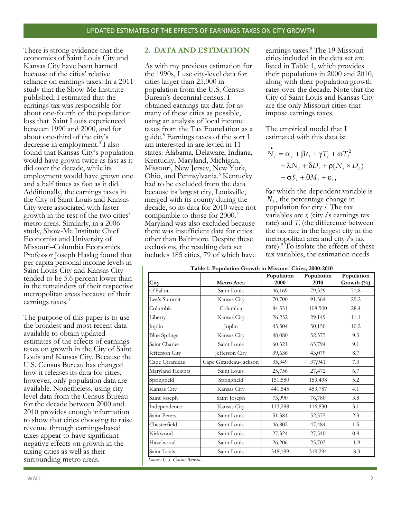There is strong evidence that the economies of Saint Louis City and Kansas City have been harmed because of the cities' relative reliance on earnings taxes. In a 2011 study that the Show-Me Institute published, I estimated that the earnings tax was responsible for about one-fourth of the population loss that Saint Louis experienced between 1990 and 2000, and for about one-third of the city's decrease in employment.<sup>3</sup> I also found that Kansas City's population would have grown twice as fast as it did over the decade, while its employment would have grown one and a half times as fast as it did. Additionally, the earnings taxes in the City of Saint Louis and Kansas City were associated with faster growth in the rest of the two cities' metro areas. Similarly, in a 2006 study, Show-Me Institute Chief Economist and University of Missouri–Columbia Economics Professor Joseph Haslag found that per capita personal income levels in Saint Louis City and Kansas City tended to be 5.6 percent lower than in the remainders of their respective metropolitan areas because of their earnings taxes.<sup>4</sup>

The purpose of this paper is to use the broadest and most recent data available to obtain updated estimates of the effects of earnings taxes on growth in the City of Saint Louis and Kansas City. Because the U.S. Census Bureau has changed how it releases its data for cities, however, only population data are available. Nonetheless, using citylevel data from the Census Bureau for the decade between 2000 and 2010 provides enough information to show that cities choosing to raise revenue through earnings-based taxes appear to have significant negative effects on growth in the taxing cities as well as their surrounding metro areas.

### **2. DATA AND ESTIMATION**

As with my previous estimation for the 1990s, I use city-level data for cities larger than 25,000 in population from the U.S. Census Bureau's decennial census. I obtained earnings tax data for as many of these cities as possible, using an analysis of local income taxes from the Tax Foundation as a guide. $5$  Earnings taxes of the sort I am interested in are levied in 11 states: Alabama, Delaware, Indiana, Kentucky, Maryland, Michigan, Missouri, New Jersey, New York, Ohio, and Pennsylvania.<sup>6</sup> Kentucky had to be excluded from the data because its largest city, Louisville, merged with its county during the decade, so its data for 2010 were not comparable to those for 2000.<sup>7</sup> Maryland was also excluded because there was insufficient data for cities other than Baltimore. Despite these exclusions, the resulting data set includes 185 cities, 79 of which have

earnings taxes.<sup>8</sup> The 19 Missouri cities included in the data set are listed in Table 1, which provides their populations in 2000 and 2010, along with their population growth rates over the decade. Note that the City of Saint Louis and Kansas City are the only Missouri cities that impose earnings taxes.

The empirical model that I estimated with this data is:

$$
\begin{aligned} \mathbf{\dot{N}}_{i} &= \alpha_{s} + \beta t_{i} + \gamma T_{i} + \omega T_{i}^{2} \\ &+ \lambda N_{i} + \delta D_{i} + \rho (N_{i} \times D_{i}) \\ &+ \sigma S_{i} + \theta M_{i} + \varepsilon_{i}, \end{aligned}
$$

for which the dependent variable is *Ni* , the percentage change in population for city *i*. The tax variables are *t<sup>i</sup>* (city *i*'s earnings tax rate) and  $T_i$  (the difference between the tax rate in the largest city in the metropolitan area and city *i*'s tax rate).<sup>9</sup> To isolate the effects of these tax variables, the estimation needs

| Table 1. Population Growth in Missouri Cities, 2000-2010 |                        |                    |                    |                          |  |  |  |
|----------------------------------------------------------|------------------------|--------------------|--------------------|--------------------------|--|--|--|
| City                                                     | <b>Metro Area</b>      | Population<br>2000 | Population<br>2010 | Population<br>Growth (%) |  |  |  |
| O'Fallon                                                 | Saint Louis            | 46,169             | 79,329             | 71.8                     |  |  |  |
| Lee's Summit                                             | Kansas City            | 70,700             | 91,364             | 29.2                     |  |  |  |
| Columbia                                                 | Columbia               | 84,531             | 108,500            | 28.4                     |  |  |  |
| Liberty                                                  | Kansas City            | 26,232             | 29,149             | 11.1                     |  |  |  |
| Joplin                                                   | Joplin                 | 45,504             | 50,150             | 10.2                     |  |  |  |
| <b>Blue Springs</b>                                      | Kansas City            | 48,080             | 52,575             | 9.3                      |  |  |  |
| Saint Charles                                            | Saint Louis            | 60,321             | 65,794             | 9.1                      |  |  |  |
| Jefferson City                                           | Jefferson City         | 39,636             | 43,079             | 8.7                      |  |  |  |
| Cape Girardeau                                           | Cape Girardeau-Jackson | 35,349             | 37,941             | 7.3                      |  |  |  |
| Maryland Heights                                         | Saint Louis            | 25,756             | 27,472             | 6.7                      |  |  |  |
| Springfield                                              | Springfield            | 151,580            | 159,498            | 5.2                      |  |  |  |
| Kansas City                                              | Kansas City            | 441,545            | 459,787            | 4.1                      |  |  |  |
| Saint Joseph                                             | Saint Joseph           | 73,990             | 76,780             | 3.8                      |  |  |  |
| Independence                                             | Kansas City            | 113,288            | 116,830            | 3.1                      |  |  |  |
| Saint Peters                                             | Saint Louis            | 51,381             | 52,575             | 2.3                      |  |  |  |
| Chesterfield                                             | Saint Louis            | 46,802             | 47,484             | 1.5                      |  |  |  |
| Kirkwood                                                 | Saint Louis            | 27,324             | 27,540             | 0.8                      |  |  |  |
| Hazelwood                                                | Saint Louis            | 26,206             | 25,703             | $-1.9$                   |  |  |  |
| Saint Louis                                              | Saint Louis            | 348,189            | 319,294            | $-8.3$                   |  |  |  |
| Source: U.S. Census Bureau.                              |                        |                    |                    |                          |  |  |  |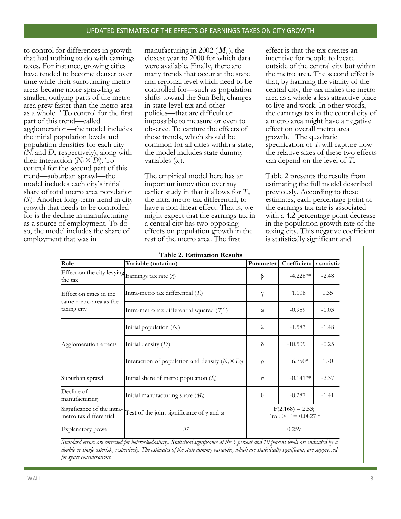to control for differences in growth that had nothing to do with earnings taxes. For instance, growing cities have tended to become denser over time while their surrounding metro areas became more sprawling as smaller, outlying parts of the metro area grew faster than the metro area as a whole.<sup>10</sup> To control for the first part of this trend—called agglomeration—the model includes the initial population levels and population densities for each city (*N<sup>i</sup>* and *Di*, respectively), along with their interaction  $(N_i \times D_i)$ . To control for the second part of this trend—suburban sprawl—the model includes each city's initial share of total metro area population (*Si*). Another long-term trend in city growth that needs to be controlled for is the decline in manufacturing as a source of employment. To do so, the model includes the share of employment that was in

manufacturing in 2002 ( *Mi* ), the closest year to 2000 for which data were available. Finally, there are many trends that occur at the state and regional level which need to be controlled for—such as population shifts toward the Sun Belt, changes in state-level tax and other policies—that are difficult or impossible to measure or even to observe. To capture the effects of these trends, which should be common for all cities within a state, the model includes state dummy variables (α*s*).

The empirical model here has an important innovation over my earlier study in that it allows for *Ti*, the intra-metro tax differential, to have a non-linear effect. That is, we might expect that the earnings tax in a central city has two opposing effects on population growth in the rest of the metro area. The first

effect is that the tax creates an incentive for people to locate outside of the central city but within the metro area. The second effect is that, by harming the vitality of the central city, the tax makes the metro area as a whole a less attractive place to live and work. In other words, the earnings tax in the central city of a metro area might have a negative effect on overall metro area growth.<sup>11</sup> The quadratic specification of  $T_i$  will capture how the relative sizes of these two effects can depend on the level of *Ti*.

Table 2 presents the results from estimating the full model described previously. According to these estimates, each percentage point of the earnings tax rate is associated with a 4.2 percentage point decrease in the population growth rate of the taxing city. This negative coefficient is statistically significant and

| <b>Table 2. Estimation Results</b>                               |                                                          |                                             |                         |         |  |  |  |
|------------------------------------------------------------------|----------------------------------------------------------|---------------------------------------------|-------------------------|---------|--|--|--|
| Role                                                             | Variable (notation)                                      | Parameter                                   | Coefficient t-statistic |         |  |  |  |
| Effect on the city levying Earnings tax rate $(t_i)$<br>the tax  |                                                          | β                                           | $-4.226**$              | $-2.48$ |  |  |  |
| Effect on cities in the<br>same metro area as the<br>taxing city | Intra-metro tax differential $(T_i)$                     | γ                                           | 1.108                   | 0.35    |  |  |  |
|                                                                  | Intra-metro tax differential squared $(T_i^2)$           | $\omega$                                    | $-0.959$                | $-1.03$ |  |  |  |
| Agglomeration effects                                            | Initial population $(N_i)$                               | λ                                           | $-1.583$                | $-1.48$ |  |  |  |
|                                                                  | Initial density $(D_i)$                                  | $\delta$                                    | $-10.509$               | $-0.25$ |  |  |  |
|                                                                  | Interaction of population and density $(N_i \times D_i)$ | $\mathcal{O}$                               | $6.750*$                | 1.70    |  |  |  |
| Suburban sprawl                                                  | Initial share of metro population $(S_i)$                | $\sigma$                                    | $-0.141**$              | $-2.37$ |  |  |  |
| Decline of<br>manufacturing                                      | Initial manufacturing share $(M_i)$                      | $\theta$                                    | $-0.287$                | $-1.41$ |  |  |  |
| Significance of the intra-<br>metro tax differential             | Test of the joint significance of $\gamma$ and $\omega$  | $F(2,168) = 2.53;$<br>$Prob > F = 0.0827$ * |                         |         |  |  |  |
| Explanatory power                                                | $R^2$                                                    | 0.259                                       |                         |         |  |  |  |

*Standard errors are corrected for heteroskedasticity. Statistical significance at the 5 percent and 10 percent levels are indicated by a double or single asterisk, respectively. The estimates of the state dummy variables, which are statistically significant, are suppressed for space considerations.*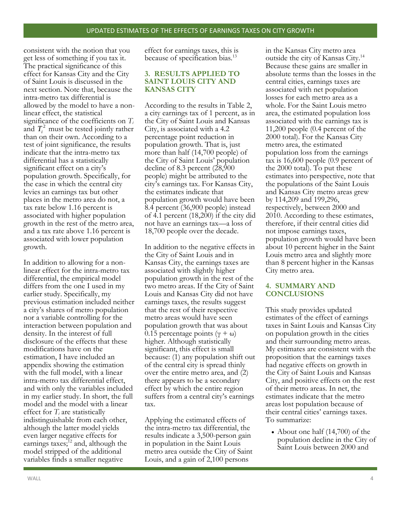consistent with the notion that you get less of something if you tax it. The practical significance of this effect for Kansas City and the City of Saint Louis is discussed in the next section. Note that, because the intra-metro tax differential is allowed by the model to have a nonlinear effect, the statistical significance of the coefficients on *T<sup>i</sup>* and  $T_i^2$  must be tested jointly rather than on their own. According to a test of joint significance, the results indicate that the intra-metro tax differential has a statistically significant effect on a city's population growth. Specifically, for the case in which the central city levies an earnings tax but other places in the metro area do not, a tax rate below 1.16 percent is associated with higher population growth in the rest of the metro area, and a tax rate above 1.16 percent is associated with lower population growth.

In addition to allowing for a nonlinear effect for the intra-metro tax differential, the empirical model differs from the one I used in my earlier study. Specifically, my previous estimation included neither a city's shares of metro population nor a variable controlling for the interaction between population and density. In the interest of full disclosure of the effects that these modifications have on the estimation, I have included an appendix showing the estimation with the full model, with a linear intra-metro tax differential effect, and with only the variables included in my earlier study. In short, the full model and the model with a linear effect for *T<sup>i</sup>* are statistically indistinguishable from each other, although the latter model yields even larger negative effects for earnings taxes; $^{12}$  and, although the model stripped of the additional variables finds a smaller negative

effect for earnings taxes, this is because of specification bias.<sup>13</sup>

### **3. RESULTS APPLIED TO SAINT LOUIS CITY AND KANSAS CITY**

According to the results in Table 2, a city earnings tax of 1 percent, as in the City of Saint Louis and Kansas City, is associated with a 4.2 percentage point reduction in population growth. That is, just more than half (14,700 people) of the City of Saint Louis' population decline of 8.3 percent (28,900 people) might be attributed to the city's earnings tax. For Kansas City, the estimates indicate that population growth would have been 8.4 percent (36,900 people) instead of 4.1 percent (18,200) if the city did not have an earnings tax—a loss of 18,700 people over the decade.

In addition to the negative effects in the City of Saint Louis and in Kansas City, the earnings taxes are associated with slightly higher population growth in the rest of the two metro areas. If the City of Saint Louis and Kansas City did not have earnings taxes, the results suggest that the rest of their respective metro areas would have seen population growth that was about 0.15 percentage points ( $\gamma + \omega$ ) higher. Although statistically significant, this effect is small because: (1) any population shift out of the central city is spread thinly over the entire metro area, and (2) there appears to be a secondary effect by which the entire region suffers from a central city's earnings tax.

Applying the estimated effects of the intra-metro tax differential, the results indicate a 3,500-person gain in population in the Saint Louis metro area outside the City of Saint Louis, and a gain of 2,100 persons

in the Kansas City metro area outside the city of Kansas City.<sup>14</sup> Because these gains are smaller in absolute terms than the losses in the central cities, earnings taxes are associated with net population losses for each metro area as a whole. For the Saint Louis metro area, the estimated population loss associated with the earnings tax is 11,200 people (0.4 percent of the 2000 total). For the Kansas City metro area, the estimated population loss from the earnings tax is 16,600 people (0.9 percent of the 2000 total). To put these estimates into perspective, note that the populations of the Saint Louis and Kansas City metro areas grew by 114,209 and 199,296, respectively, between 2000 and 2010. According to these estimates, therefore, if their central cities did not impose earnings taxes, population growth would have been about 10 percent higher in the Saint Louis metro area and slightly more than 8 percent higher in the Kansas City metro area.

#### **4. SUMMARY AND CONCLUSIONS**

This study provides updated estimates of the effect of earnings taxes in Saint Louis and Kansas City on population growth in the cities and their surrounding metro areas. My estimates are consistent with the proposition that the earnings taxes had negative effects on growth in the City of Saint Louis and Kansas City, and positive effects on the rest of their metro areas. In net, the estimates indicate that the metro areas lost population because of their central cities' earnings taxes. To summarize:

• About one half (14,700) of the population decline in the City of Saint Louis between 2000 and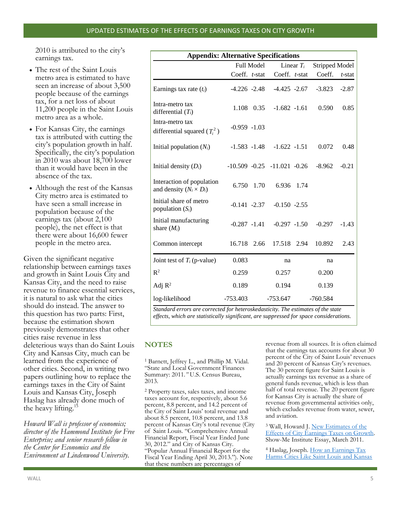2010 is attributed to the city's earnings tax.

- The rest of the Saint Louis metro area is estimated to have seen an increase of about 3,500 people because of the earnings tax, for a net loss of about 11,200 people in the Saint Louis metro area as a whole.
- For Kansas City, the earnings tax is attributed with cutting the city's population growth in half. Specifically, the city's population in 2010 was about 18,700 lower than it would have been in the absence of the tax.
- Although the rest of the Kansas City metro area is estimated to have seen a small increase in population because of the earnings tax (about 2,100 people), the net effect is that there were about 16,600 fewer people in the metro area.

Given the significant negative relationship between earnings taxes and growth in Saint Louis City and Kansas City, and the need to raise revenue to finance essential services, it is natural to ask what the cities should do instead. The answer to this question has two parts: First, because the estimation shown previously demonstrates that other cities raise revenue in less deleterious ways than do Saint Louis City and Kansas City, much can be learned from the experience of other cities. Second, in writing two papers outlining how to replace the earnings taxes in the City of Saint Louis and Kansas City, Joseph Haslag has already done much of the heavy lifting.<sup>15</sup>

*Howard Wall is professor of economics; director of the Hammond Institute for Free Enterprise; and senior research fellow in the Center for Economics and the Environment at Lindenwood University.*

| <b>Appendix: Alternative Specifications</b>                                                        |                 |            |                                     |  |                |           |  |  |  |
|----------------------------------------------------------------------------------------------------|-----------------|------------|-------------------------------------|--|----------------|-----------|--|--|--|
|                                                                                                    | Full Model      |            | Linear $T_i$                        |  | Stripped Model |           |  |  |  |
|                                                                                                    | Coeff. t-stat   |            | Coeff. $t$ -stat                    |  | Coeff.         | $t$ -stat |  |  |  |
| Earnings tax rate $(t_i)$                                                                          | $-4.226 -2.48$  |            | -4.425 -2.67                        |  | $-3.823$       | $-2.87$   |  |  |  |
| Intra-metro tax<br>differential $(T_i)$                                                            |                 | 1.108 0.35 | $-1.682 -1.61$                      |  | 0.590          | 0.85      |  |  |  |
| Intra-metro tax<br>differential squared $(T_i^2)$                                                  | $-0.959 - 1.03$ |            |                                     |  |                |           |  |  |  |
| Initial population $(N_i)$                                                                         | $-1.583 - 1.48$ |            | $-1.622 -1.51$                      |  | 0.072          | 0.48      |  |  |  |
| Initial density $(D_i)$                                                                            |                 |            | $-10.509$ $-0.25$ $-11.021$ $-0.26$ |  | $-8.962$       | $-0.21$   |  |  |  |
| Interaction of population<br>and density $(N_i \times D_i)$                                        | 6.750           | 1.70       | 6.936 1.74                          |  |                |           |  |  |  |
| Initial share of metro<br>population $(S_i)$                                                       | $-0.141 -2.37$  |            | $-0.150 -2.55$                      |  |                |           |  |  |  |
| Initial manufacturing<br>share $(M_i)$                                                             | $-0.287 -1.41$  |            | $-0.297 -1.50$                      |  | $-0.297$       | $-1.43$   |  |  |  |
| Common intercept                                                                                   | 16.718 2.66     |            | 17.518 2.94                         |  | 10.892         | 2.43      |  |  |  |
| Joint test of $T_i$ (p-value)                                                                      | 0.083           |            | na                                  |  | na             |           |  |  |  |
| $R^2$                                                                                              | 0.259           |            | 0.257                               |  | 0.200          |           |  |  |  |
| Adj $R^2$                                                                                          | 0.189           |            | 0.194                               |  | 0.139          |           |  |  |  |
| log-likelihood<br>Standard errors are corrected for heteroskedasticity. The estimates of the state | $-753.403$      |            | $-753.647$                          |  | $-760.584$     |           |  |  |  |

*Standard errors are corrected for heteroskedasticity. The estimates of the state effects, which are statistically significant, are suppressed for space considerations.*

## **NOTES**

<sup>1</sup> Barnett, Jeffrey L., and Phillip M. Vidal. "State and Local Government Finances Summary: 2011*."* U.S. Census Bureau, 2013.

<sup>2</sup> Property taxes, sales taxes, and income taxes account for, respectively, about 5.6 percent, 8.8 percent, and 14.2 percent of the City of Saint Louis' total revenue and about 8.5 percent, 10.8 percent, and 13.8 percent of Kansas City's total revenue (City of Saint Louis. "Comprehensive Annual Financial Report, Fiscal Year Ended June 30, 2012." and City of Kansas City. "Popular Annual Financial Report for the Fiscal Year Ending April 30, 2013."). Note that these numbers are percentages of

revenue from all sources. It is often claimed that the earnings tax accounts for about 30 percent of the City of Saint Louis' revenues and 20 percent of Kansas City's revenues. The 30 percent figure for Saint Louis is actually earnings tax revenue as a share of general funds revenue, which is less than half of total revenue. The 20 percent figure for Kansas City is actually the share of revenue from governmental activities only, which excludes revenue from water, sewer, and aviation.

<sup>3</sup> Wall, Howard J. New Estimates of the [Effects of City Earnings Taxes on Growth.](http://showmeinstitute.org/publications/essay/taxes/1035-new-evidence-of-the-effects-of-city-earnings-taxes-on-growth.html)  Show-Me Institute Essay, March 2011.

<sup>4</sup> Haslag, Joseph. How an Earnings Tax [Harms Cities Like Saint Louis and Kansas](http://showmeinstitute.org/publications/policy-study/taxes/343-how-an-earnings-tax-harms-cities.html)